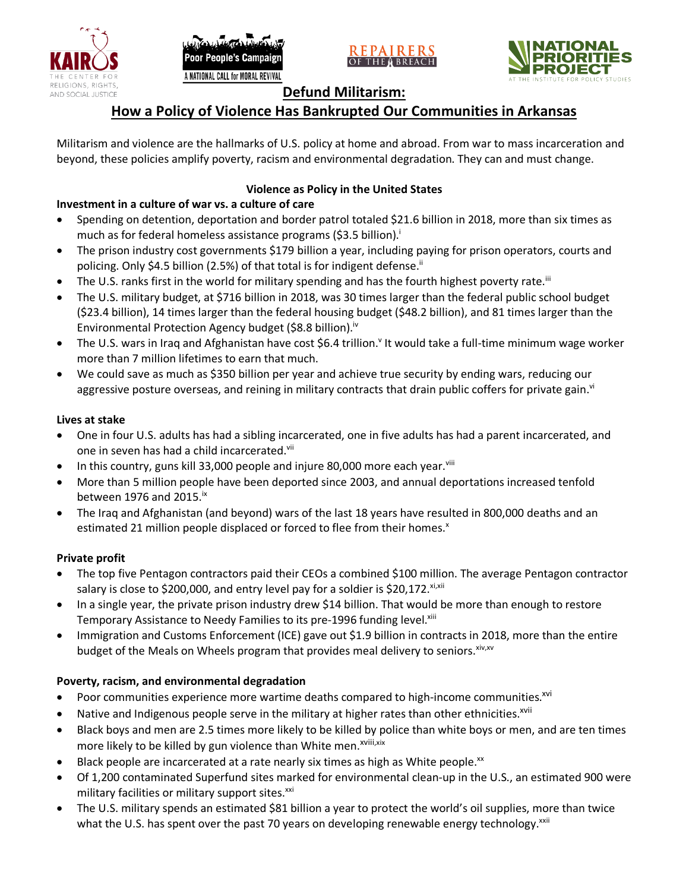







# **Defund Militarism:**

# **How a Policy of Violence Has Bankrupted Our Communities in Arkansas**

Militarism and violence are the hallmarks of U.S. policy at home and abroad. From war to mass incarceration and beyond, these policies amplify poverty, racism and environmental degradation. They can and must change.

## **Violence as Policy in the United States**

# **Investment in a culture of war vs. a culture of care**

- Spending on detention, deportation and border patrol totaled \$21.6 billion in 2018, more than six times as much as for federal homeless assistance programs (\$3.5 billion).<sup>i</sup>
- The prison industry cost governments \$179 billion a year, including paying for prison operators, courts and policing. Only \$4.5 billion (2.5%) of that total is for indigent defense.<sup>ii</sup>
- The U.S. ranks first in the world for military spending and has the fourth highest poverty rate.<sup>iii</sup>
- The U.S. military budget, at \$716 billion in 2018, was 30 times larger than the federal public school budget (\$23.4 billion), 14 times larger than the federal housing budget (\$48.2 billion), and 81 times larger than the Environmental Protection Agency budget (\$8.8 billion).<sup>iv</sup>
- The U.S. wars in Iraq and Afghanistan have cost \$6.4 trillion.<sup>v</sup> It would take a full-time minimum wage worker more than 7 million lifetimes to earn that much.
- We could save as much as \$350 billion per year and achieve true security by ending wars, reducing our aggressive posture overseas, and reining in military contracts that drain public coffers for private gain.<sup>vi</sup>

### **Lives at stake**

- One in four U.S. adults has had a sibling incarcerated, one in five adults has had a parent incarcerated, and one in seven has had a child incarcerated.vii
- In this country, guns kill 33,000 people and injure 80,000 more each year. $v_{\text{lin}}$
- More than 5 million people have been deported since 2003, and annual deportations increased tenfold between 1976 and 2015. $\mathrm{i}$ <sup>x</sup>
- The Iraq and Afghanistan (and beyond) wars of the last 18 years have resulted in 800,000 deaths and an estimated 21 million people displaced or forced to flee from their homes.<sup>x</sup>

#### **Private profit**

- The top five Pentagon contractors paid their CEOs a combined \$100 million. The average Pentagon contractor salary is close to \$200,000, and entry level pay for a soldier is \$20,172. xi,xii
- In a single year, the private prison industry drew \$14 billion. That would be more than enough to restore Temporary Assistance to Needy Families to its pre-1996 funding level.<sup>xiii</sup>
- Immigration and Customs Enforcement (ICE) gave out \$1.9 billion in contracts in 2018, more than the entire budget of the Meals on Wheels program that provides meal delivery to seniors. Xiv, XV

## **Poverty, racism, and environmental degradation**

- Poor communities experience more wartime deaths compared to high-income communities.<sup>xvi</sup>
- Native and Indigenous people serve in the military at higher rates than other ethnicities.<sup>xvii</sup>
- Black boys and men are 2.5 times more likely to be killed by police than white boys or men, and are ten times more likely to be killed by gun violence than White men.<sup>xviii,xix</sup>
- Black people are incarcerated at a rate nearly six times as high as White people.<sup>xx</sup>
- Of 1,200 contaminated Superfund sites marked for environmental clean-up in the U.S., an estimated 900 were military facilities or military support sites.<sup>xxi</sup>
- The U.S. military spends an estimated \$81 billion a year to protect the world's oil supplies, more than twice what the U.S. has spent over the past 70 years on developing renewable energy technology.<sup>xxii</sup>